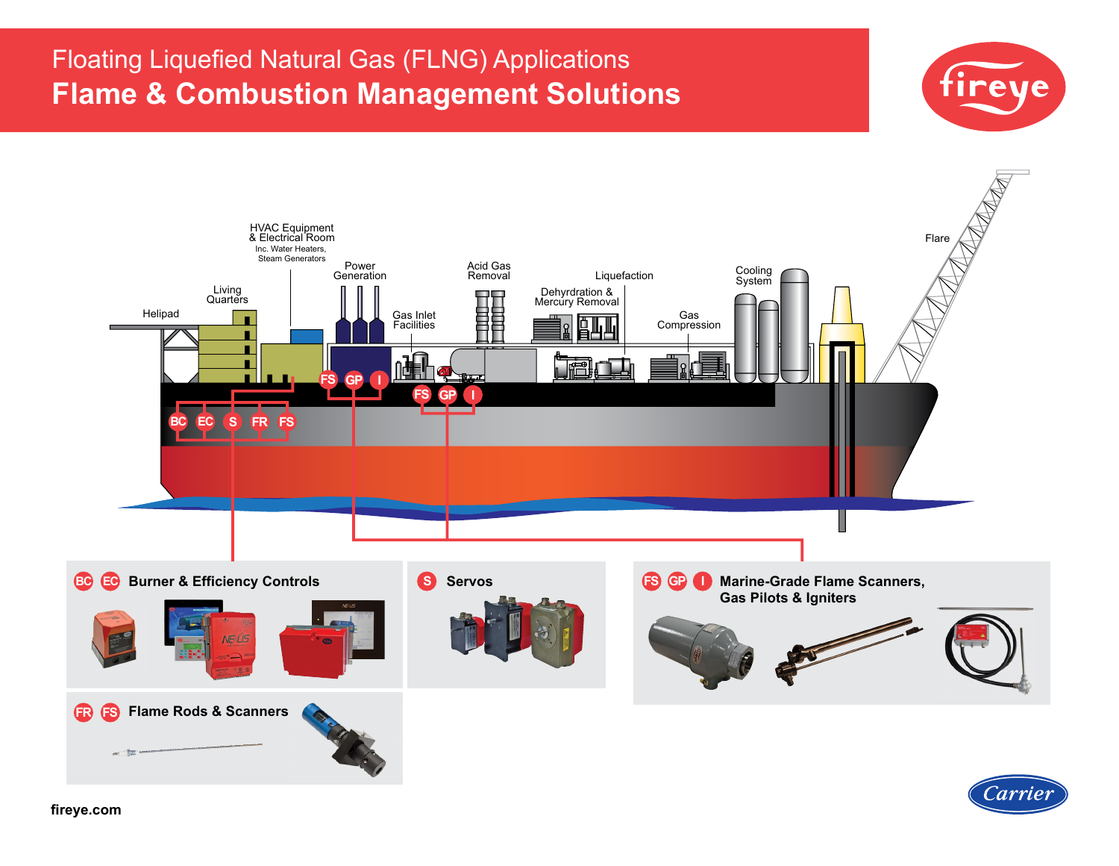# Floating Liquefied Natural Gas (FLNG) Applications **Flame & Combustion Management Solutions**





Carriei